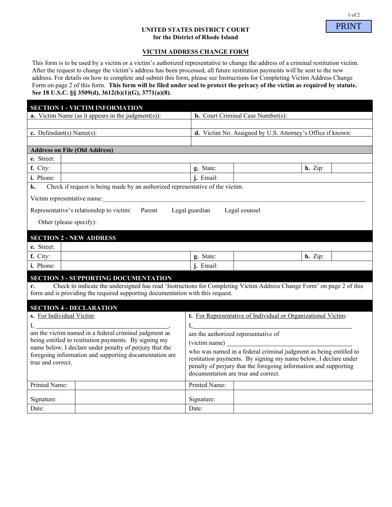# **UNITED STATES DISTRICT COURT for the District of Rhode Island**

#### **VICTIM ADDRESS CHANGE FORM**

This form is to be used by a victim or a victim's authorized representative to change the address of a criminal restitution victim. After the request to change the victim's address has been processed, all future restitution payments will be sent to the new address. For details on how to complete and submit this form, please see Instructions for Completing Victim Address Change Form on page 2 of this form. **This form will be filed under seal to protect the privacy of the victim as required by statute. See 18 U.S.C. §§ 3509(d), 3612(b)(1)(G), 3771(a)(8).**

|                                                                                                                                                                                                               | <b>SECTION 1 - VICTIM INFORMATION</b> |                                                                                                                                     |  |           |  |
|---------------------------------------------------------------------------------------------------------------------------------------------------------------------------------------------------------------|---------------------------------------|-------------------------------------------------------------------------------------------------------------------------------------|--|-----------|--|
| <b>a.</b> Victim Name (as it appears in the judgment(s)):                                                                                                                                                     |                                       | <b>b.</b> Court Criminal Case Number(s):                                                                                            |  |           |  |
|                                                                                                                                                                                                               |                                       |                                                                                                                                     |  |           |  |
| c. Defendant(s) Name(s):                                                                                                                                                                                      |                                       | d. Victim No. Assigned by U.S. Attorney's Office if known:                                                                          |  |           |  |
|                                                                                                                                                                                                               |                                       |                                                                                                                                     |  |           |  |
| <b>Address on File (Old Address)</b>                                                                                                                                                                          |                                       |                                                                                                                                     |  |           |  |
| e. Street:                                                                                                                                                                                                    |                                       |                                                                                                                                     |  |           |  |
| f. City:                                                                                                                                                                                                      |                                       | g. State:                                                                                                                           |  | h. Zip:   |  |
| i. Phone:                                                                                                                                                                                                     |                                       | <i>i</i> . Email:                                                                                                                   |  |           |  |
| Check if request is being made by an authorized representative of the victim.<br>k.                                                                                                                           |                                       |                                                                                                                                     |  |           |  |
| Victim representative name:                                                                                                                                                                                   |                                       |                                                                                                                                     |  |           |  |
| Parent Legal guardian<br>Legal counsel<br>Representative's relationship to victim:                                                                                                                            |                                       |                                                                                                                                     |  |           |  |
|                                                                                                                                                                                                               |                                       |                                                                                                                                     |  |           |  |
| Other (please specify):                                                                                                                                                                                       |                                       |                                                                                                                                     |  |           |  |
| <b>SECTION 2 - NEW ADDRESS</b>                                                                                                                                                                                |                                       |                                                                                                                                     |  |           |  |
| e. Street:                                                                                                                                                                                                    |                                       |                                                                                                                                     |  |           |  |
| f. City:                                                                                                                                                                                                      |                                       | g. State:                                                                                                                           |  | $h.$ Zip: |  |
| i. Phone:                                                                                                                                                                                                     |                                       | j. Email:                                                                                                                           |  |           |  |
|                                                                                                                                                                                                               |                                       |                                                                                                                                     |  |           |  |
| <b>SECTION 3 - SUPPORTING DOCUMENTATION</b>                                                                                                                                                                   |                                       |                                                                                                                                     |  |           |  |
| Check to indicate the undersigned has read 'Instructions for Completing Victim Address Change Form' on page 2 of this<br>r.<br>form and is providing the required supporting documentation with this request. |                                       |                                                                                                                                     |  |           |  |
|                                                                                                                                                                                                               |                                       |                                                                                                                                     |  |           |  |
| <b>SECTION 4 - DECLARATION</b>                                                                                                                                                                                |                                       |                                                                                                                                     |  |           |  |
| s. For Individual Victim:                                                                                                                                                                                     |                                       | t. For Representative of Individual or Organizational Victim:                                                                       |  |           |  |
|                                                                                                                                                                                                               |                                       |                                                                                                                                     |  |           |  |
| being entitled to restitution payments. By signing my<br>name below, I declare under penalty of perjury that the<br>foregoing information and supporting documentation are                                    |                                       | am the authorized representative of                                                                                                 |  |           |  |
|                                                                                                                                                                                                               |                                       |                                                                                                                                     |  |           |  |
|                                                                                                                                                                                                               |                                       | who was named in a federal criminal judgment as being entitled to                                                                   |  |           |  |
| true and correct.                                                                                                                                                                                             |                                       | restitution payments. By signing my name below, I declare under<br>penalty of perjury that the foregoing information and supporting |  |           |  |
|                                                                                                                                                                                                               |                                       | documentation are true and correct.                                                                                                 |  |           |  |
| Printed Name:                                                                                                                                                                                                 |                                       |                                                                                                                                     |  |           |  |
|                                                                                                                                                                                                               |                                       | Printed Name:                                                                                                                       |  |           |  |
| Signature:                                                                                                                                                                                                    |                                       | Signature:                                                                                                                          |  |           |  |
| Date:                                                                                                                                                                                                         |                                       | Date:                                                                                                                               |  |           |  |

PRINT